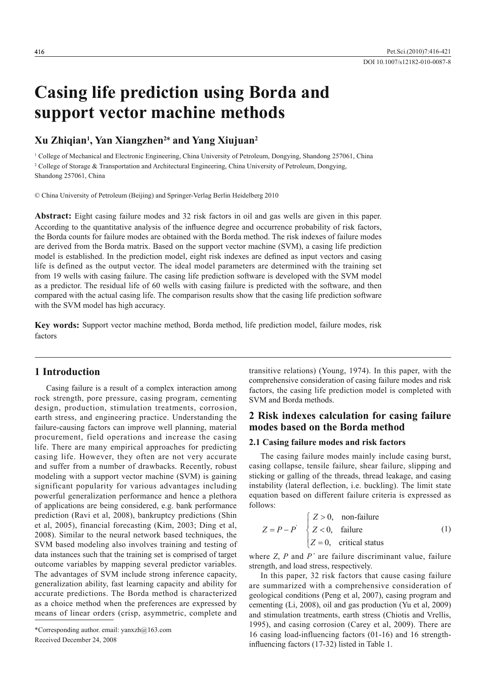# **Casing life prediction using Borda and support vector machine methods**

# **Xu Zhiqian<sup>1</sup>, Yan Xiangzhen<sup>2\*</sup> and Yang Xiujuan<sup>2</sup>**

<sup>1</sup> College of Mechanical and Electronic Engineering, China University of Petroleum, Dongying, Shandong 257061, China 2 College of Storage & Transportation and Architectural Engineering, China University of Petroleum, Dongying, Shandong 257061, China

© China University of Petroleum (Beijing) and Springer-Verlag Berlin Heidelberg 2010

**Abstract:** Eight casing failure modes and 32 risk factors in oil and gas wells are given in this paper. According to the quantitative analysis of the influence degree and occurrence probability of risk factors, the Borda counts for failure modes are obtained with the Borda method. The risk indexes of failure modes are derived from the Borda matrix. Based on the support vector machine (SVM), a casing life prediction model is established. In the prediction model, eight risk indexes are defined as input vectors and casing life is defined as the output vector. The ideal model parameters are determined with the training set from 19 wells with casing failure. The casing life prediction software is developed with the SVM model as a predictor. The residual life of 60 wells with casing failure is predicted with the software, and then compared with the actual casing life. The comparison results show that the casing life prediction software with the SVM model has high accuracy.

**Key words:** Support vector machine method, Borda method, life prediction model, failure modes, risk factors

# **1 Introduction**

Casing failure is a result of a complex interaction among rock strength, pore pressure, casing program, cementing design, production, stimulation treatments, corrosion, earth stress, and engineering practice. Understanding the failure-causing factors can improve well planning, material procurement, field operations and increase the casing life. There are many empirical approaches for predicting casing life. However, they often are not very accurate and suffer from a number of drawbacks. Recently, robust modeling with a support vector machine (SVM) is gaining significant popularity for various advantages including powerful generalization performance and hence a plethora of applications are being considered, e.g. bank performance prediction (Ravi et al, 2008), bankruptcy predictions (Shin et al, 2005), financial forecasting (Kim, 2003; Ding et al, 2008). Similar to the neural network based techniques, the SVM based modeling also involves training and testing of data instances such that the training set is comprised of target outcome variables by mapping several predictor variables. The advantages of SVM include strong inference capacity, generalization ability, fast learning capacity and ability for accurate predictions. The Borda method is characterized as a choice method when the preferences are expressed by means of linear orders (crisp, asymmetric, complete and transitive relations) (Young, 1974). In this paper, with the comprehensive consideration of casing failure modes and risk factors, the casing life prediction model is completed with SVM and Borda methods.

# **2 Risk indexes calculation for casing failure modes based on the Borda method**

## **2.1 Casing failure modes and risk factors**

The casing failure modes mainly include casing burst, casing collapse, tensile failure, shear failure, slipping and sticking or galling of the threads, thread leakage, and casing instability (lateral deflection, i.e. buckling). The limit state equation based on different failure criteria is expressed as follows:

$$
Z = P - P' \begin{cases} Z > 0, & \text{non-failure} \\ Z < 0, & \text{failure} \\ Z = 0, & \text{critical status} \end{cases}
$$
 (1)

where *Z*, *P* and *P΄* are failure discriminant value, failure strength, and load stress, respectively.

In this paper, 32 risk factors that cause casing failure are summarized with a comprehensive consideration of geological conditions (Peng et al, 2007), casing program and cementing (Li, 2008), oil and gas production (Yu et al, 2009) and stimulation treatments, earth stress (Chiotis and Vrellis, 1995), and casing corrosion (Carey et al, 2009). There are 16 casing load-influencing factors (01-16) and 16 strengthinfluencing factors  $(17-32)$  listed in Table 1.

<sup>\*</sup>Corresponding author. email: yanxzh@163.com Received December 24, 2008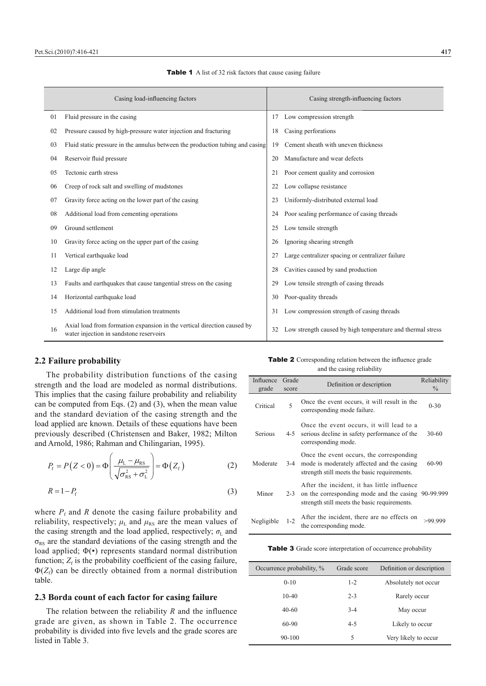| Casing load-influencing factors |                                                                                                                    |    | Casing strength-influencing factors                        |  |  |
|---------------------------------|--------------------------------------------------------------------------------------------------------------------|----|------------------------------------------------------------|--|--|
| 01                              | Fluid pressure in the casing                                                                                       | 17 | Low compression strength                                   |  |  |
| 02                              | Pressure caused by high-pressure water injection and fracturing                                                    | 18 | Casing perforations                                        |  |  |
| 03                              | Fluid static pressure in the annulus between the production tubing and casing                                      | 19 | Cement sheath with uneven thickness                        |  |  |
| 04                              | Reservoir fluid pressure                                                                                           | 20 | Manufacture and wear defects                               |  |  |
| 05                              | Tectonic earth stress                                                                                              | 21 | Poor cement quality and corrosion                          |  |  |
| 06                              | Creep of rock salt and swelling of mudstones                                                                       | 22 | Low collapse resistance                                    |  |  |
| 07                              | Gravity force acting on the lower part of the casing                                                               | 23 | Uniformly-distributed external load                        |  |  |
| 08                              | Additional load from cementing operations                                                                          | 24 | Poor sealing performance of casing threads                 |  |  |
| 09                              | Ground settlement                                                                                                  | 25 | Low tensile strength                                       |  |  |
| 10                              | Gravity force acting on the upper part of the casing                                                               | 26 | Ignoring shearing strength                                 |  |  |
| 11                              | Vertical earthquake load                                                                                           | 27 | Large centralizer spacing or centralizer failure           |  |  |
| 12                              | Large dip angle                                                                                                    | 28 | Cavities caused by sand production                         |  |  |
| 13                              | Faults and earthquakes that cause tangential stress on the casing                                                  | 29 | Low tensile strength of casing threads                     |  |  |
| 14                              | Horizontal earthquake load                                                                                         | 30 | Poor-quality threads                                       |  |  |
| 15                              | Additional load from stimulation treatments                                                                        | 31 | Low compression strength of casing threads                 |  |  |
| 16                              | Axial load from formation expansion in the vertical direction caused by<br>water injection in sandstone reservoirs | 32 | Low strength caused by high temperature and thermal stress |  |  |

Table 1 A list of 32 risk factors that cause casing failure

## **2.2 Failure probability**

The probability distribution functions of the casing strength and the load are modeled as normal distributions. This implies that the casing failure probability and reliability can be computed from Eqs. (2) and (3), when the mean value and the standard deviation of the casing strength and the load applied are known. Details of these equations have been previously described (Christensen and Baker, 1982; Milton and Arnold, 1986; Rahman and Chilingarian, 1995).

$$
P_{\rm f} = P(Z < 0) = \Phi\left(\frac{\mu_{\rm L} - \mu_{\rm RS}}{\sqrt{\sigma_{\rm RS}^2 + \sigma_{\rm L}^2}}\right) = \Phi(Z_{\rm f})
$$
 (2)

$$
R = 1 - P_{\rm f} \tag{3}
$$

where  $P_f$  and  $R$  denote the casing failure probability and reliability, respectively;  $\mu_L$  and  $\mu_{RS}$  are the mean values of the casing strength and the load applied, respectively;  $\sigma_{\text{L}}$  and  $\sigma_{RS}$  are the standard deviations of the casing strength and the load applied;  $\Phi(\cdot)$  represents standard normal distribution function;  $Z_f$  is the probability coefficient of the casing failure,  $\Phi(Z_f)$  can be directly obtained from a normal distribution table.

## **2.3 Borda count of each factor for casing failure**

The relation between the reliability *R* and the influence grade are given, as shown in Table 2. The occurrence probability is divided into five levels and the grade scores are listed in Table 3.

Table 2 Corresponding relation between the influence grade

| Influence<br>grade | Grade<br>score | Definition or description                                                                                                                         | Reliability<br>$\frac{0}{0}$ |
|--------------------|----------------|---------------------------------------------------------------------------------------------------------------------------------------------------|------------------------------|
| Critical           | $\varsigma$    | Once the event occurs, it will result in the<br>corresponding mode failure.                                                                       | $0 - 30$                     |
| Serious            | $4 - 5$        | Once the event occurs, it will lead to a<br>serious decline in safety performance of the<br>corresponding mode.                                   | $30 - 60$                    |
| Moderate           | $3-4$          | Once the event occurs, the corresponding<br>mode is moderately affected and the casing<br>strength still meets the basic requirements.            | 60-90                        |
| Minor              | $2 - 3$        | After the incident, it has little influence<br>on the corresponding mode and the casing 90-99.999<br>strength still meets the basic requirements. |                              |
| Negligible         | $1 - 2$        | After the incident, there are no effects on<br>the corresponding mode.                                                                            | >99.999                      |

Table 3 Grade score interpretation of occurrence probability

| Occurrence probability, % | Grade score | Definition or description |
|---------------------------|-------------|---------------------------|
| $0 - 10$                  | $1 - 2$     | Absolutely not occur      |
| $10-40$                   | $2 - 3$     | Rarely occur              |
| $40-60$                   | $3-4$       | May occur                 |
| $60-90$                   | $4 - 5$     | Likely to occur           |
| 90-100                    | 5           | Very likely to occur      |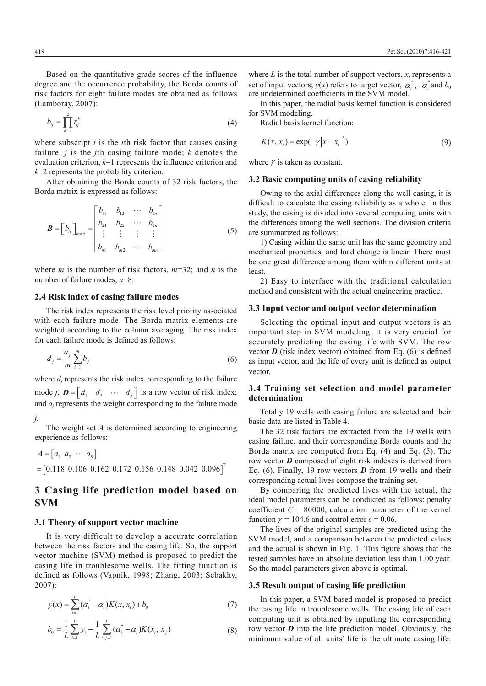Based on the quantitative grade scores of the influence degree and the occurrence probability, the Borda counts of risk factors for eight failure modes are obtained as follows (Lamboray, 2007):

$$
b_{ij} = \prod_{k=1}^{2} r_j^k \tag{4}
$$

where subscript *i* is the *i*th risk factor that causes casing failure, *j* is the *j*th casing failure mode; *k* denotes the evaluation criterion,  $k=1$  represents the influence criterion and *k*=2 represents the probability criterion.

After obtaining the Borda counts of 32 risk factors, the Borda matrix is expressed as follows:

$$
\boldsymbol{B} = \begin{bmatrix} b_{ij} \end{bmatrix}_{m \times n} = \begin{bmatrix} b_{11} & b_{12} & \cdots & b_{1n} \\ b_{21} & b_{22} & \cdots & b_{2n} \\ \vdots & \vdots & \vdots & \vdots \\ b_{m1} & b_{m2} & \cdots & b_{mn} \end{bmatrix}
$$
(5)

where *m* is the number of risk factors, *m*=32; and *n* is the number of failure modes, *n*=8.

## **2.4 Risk index of casing failure modes**

The risk index represents the risk level priority associated with each failure mode. The Borda matrix elements are weighted according to the column averaging. The risk index for each failure mode is defined as follows:

$$
d_j = \frac{a_j}{m} \sum_{i=1}^{m} b_{ij} \tag{6}
$$

where  $d_j$  represents the risk index corresponding to the failure mode *j*,  $\mathbf{D} = \begin{bmatrix} d_1 & d_2 & \cdots & d_i \end{bmatrix}$  is a row vector of risk index; and  $a_j$  represents the weight corresponding to the failure mode *j.*

The weight set  $A$  is determined according to engineering experience as follows:

 $A = [a_1 \ a_2 \ \cdots \ a_8]$  $=[0.118 \ 0.106 \ 0.162 \ 0.172 \ 0.156 \ 0.148 \ 0.042 \ 0.096]^{T}$ 

# **3 Casing life prediction model based on SVM**

#### **3.1 Theory of support vector machine**

It is very difficult to develop a accurate correlation between the risk factors and the casing life. So, the support vector machine (SVM) method is proposed to predict the casing life in troublesome wells. The fitting function is defined as follows (Vapnik, 1998; Zhang, 2003; Sebakhy, 2007):

$$
y(x) = \sum_{i=1}^{L} (\alpha_i - \alpha_i) K(x, x_i) + b_0
$$
 (7)

$$
b_0 = \frac{1}{L} \sum_{i=1}^{L} y_i - \frac{1}{L} \sum_{i,j=1}^{L} (\alpha_i^* - \alpha_i^*) K(x_i, x_j)
$$
 (8)

where  $L$  is the total number of support vectors,  $x_i$  represents a set of input vectors;  $y(x)$  refers to target vector,  $\alpha_i^{\prime}$ ,  $\alpha_i^{\prime}$  and  $b_0$ are undetermined coefficients in the SVM model.

In this paper, the radial basis kernel function is considered for SVM modeling.

Radial basis kernel function:

$$
K(x, xi) = \exp(-\gamma |x - xi|2)
$$
\n(9)

where  $\gamma$  is taken as constant.

## **3.2 Basic computing units of casing reliability**

Owing to the axial differences along the well casing, it is difficult to calculate the casing reliability as a whole. In this study, the casing is divided into several computing units with the differences among the well sections. The division criteria are summarized as follows:

1) Casing within the same unit has the same geometry and mechanical properties, and load change is linear. There must be one great difference among them within different units at least.

2) Easy to interface with the traditional calculation method and consistent with the actual engineering practice.

#### **3.3 Input vector and output vector determination**

Selecting the optimal input and output vectors is an important step in SVM modeling. It is very crucial for accurately predicting the casing life with SVM. The row vector  $\boldsymbol{D}$  (risk index vector) obtained from Eq. (6) is defined as input vector, and the life of every unit is defined as output vector.

# **3.4 Training set selection and model parameter determination**

Totally 19 wells with casing failure are selected and their basic data are listed in Table 4.

The 32 risk factors are extracted from the 19 wells with casing failure, and their corresponding Borda counts and the Borda matrix are computed from Eq. (4) and Eq. (5). The row vector *D* composed of eight risk indexes is derived from Eq. (6). Finally, 19 row vectors *D* from 19 wells and their corresponding actual lives compose the training set.

By comparing the predicted lives with the actual, the ideal model parameters can be conducted as follows: penalty coefficient  $C = 80000$ , calculation parameter of the kernel function  $\gamma$  = 104.6 and control error  $\varepsilon$  = 0.06.

The lives of the original samples are predicted using the SVM model, and a comparison between the predicted values and the actual is shown in Fig. 1. This figure shows that the tested samples have an absolute deviation less than 1.00 year. So the model parameters given above is optimal.

## **3.5 Result output of casing life prediction**

In this paper, a SVM-based model is proposed to predict the casing life in troublesome wells. The casing life of each computing unit is obtained by inputting the corresponding row vector *D* into the life prediction model. Obviously, the minimum value of all units' life is the ultimate casing life.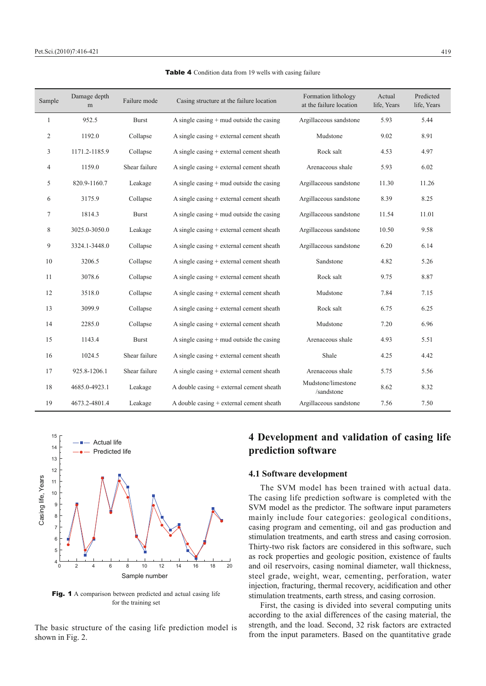| Sample         | Damage depth<br>m | Failure mode  | Casing structure at the failure location   | Formation lithology<br>at the failure location | Actual<br>life, Years | Predicted<br>life, Years |
|----------------|-------------------|---------------|--------------------------------------------|------------------------------------------------|-----------------------|--------------------------|
| $\mathbf{1}$   | 952.5             | <b>Burst</b>  | A single casing $+$ mud outside the casing | Argillaceous sandstone                         | 5.93                  | 5.44                     |
| $\overline{2}$ | 1192.0            | Collapse      | A single casing $+$ external cement sheath | Mudstone                                       | 9.02                  | 8.91                     |
| 3              | 1171.2-1185.9     | Collapse      | A single casing $+$ external cement sheath | Rock salt                                      | 4.53                  | 4.97                     |
| 4              | 1159.0            | Shear failure | A single casing $+$ external cement sheath | Arenaceous shale                               | 5.93                  | 6.02                     |
| 5              | 820.9-1160.7      | Leakage       | A single casing $+$ mud outside the casing | Argillaceous sandstone                         | 11.30                 | 11.26                    |
| 6              | 3175.9            | Collapse      | A single casing $+$ external cement sheath | Argillaceous sandstone                         | 8.39                  | 8.25                     |
| $\tau$         | 1814.3            | <b>Burst</b>  | A single casing $+$ mud outside the casing | Argillaceous sandstone                         | 11.54                 | 11.01                    |
| 8              | 3025.0-3050.0     | Leakage       | A single casing $+$ external cement sheath | Argillaceous sandstone                         | 10.50                 | 9.58                     |
| 9              | 3324.1-3448.0     | Collapse      | A single casing $+$ external cement sheath | Argillaceous sandstone                         | 6.20                  | 6.14                     |
| 10             | 3206.5            | Collapse      | A single casing $+$ external cement sheath | Sandstone                                      | 4.82                  | 5.26                     |
| 11             | 3078.6            | Collapse      | A single casing $+$ external cement sheath | Rock salt                                      | 9.75                  | 8.87                     |
| 12             | 3518.0            | Collapse      | A single casing $+$ external cement sheath | Mudstone                                       | 7.84                  | 7.15                     |
| 13             | 3099.9            | Collapse      | A single casing + external cement sheath   | Rock salt                                      | 6.75                  | 6.25                     |
| 14             | 2285.0            | Collapse      | A single casing $+$ external cement sheath | Mudstone                                       | 7.20                  | 6.96                     |
| 15             | 1143.4            | <b>Burst</b>  | A single casing $+$ mud outside the casing | Arenaceous shale                               | 4.93                  | 5.51                     |
| 16             | 1024.5            | Shear failure | A single casing + external cement sheath   | Shale                                          | 4.25                  | 4.42                     |
| 17             | 925.8-1206.1      | Shear failure | A single casing $+$ external cement sheath | Arenaceous shale                               | 5.75                  | 5.56                     |
| 18             | 4685.0-4923.1     | Leakage       | A double casing + external cement sheath   | Mudstone/limestone<br>/sandstone               | 8.62                  | 8.32                     |
| 19             | 4673.2-4801.4     | Leakage       | A double casing + external cement sheath   | Argillaceous sandstone                         | 7.56                  | 7.50                     |

Table 4 Condition data from 19 wells with casing failure



Fig. 1 A comparison between predicted and actual casing life for the training set

The basic structure of the casing life prediction model is shown in Fig. 2.

# **4 Development and validation of casing life prediction software**

## **4.1 Software development**

The SVM model has been trained with actual data. The casing life prediction software is completed with the SVM model as the predictor. The software input parameters mainly include four categories: geological conditions, casing program and cementing, oil and gas production and stimulation treatments, and earth stress and casing corrosion. Thirty-two risk factors are considered in this software, such as rock properties and geologic position, existence of faults and oil reservoirs, casing nominal diameter, wall thickness, steel grade, weight, wear, cementing, perforation, water injection, fracturing, thermal recovery, acidification and other stimulation treatments, earth stress, and casing corrosion.

First, the casing is divided into several computing units according to the axial differences of the casing material, the strength, and the load. Second, 32 risk factors are extracted from the input parameters. Based on the quantitative grade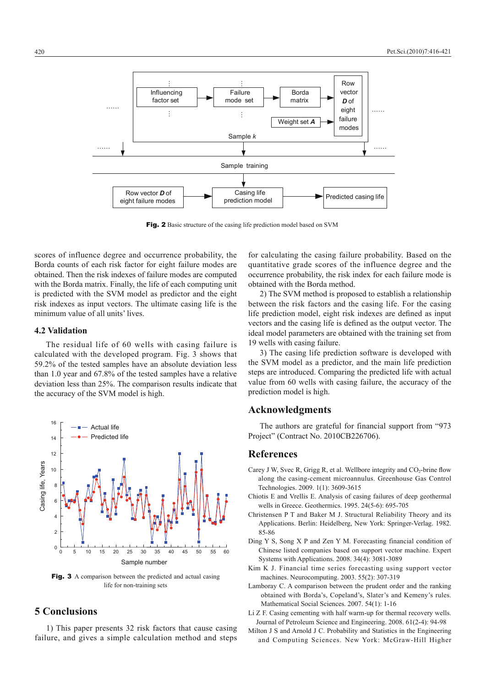

Fig. 2 Basic structure of the casing life prediction model based on SVM

scores of influence degree and occurrence probability, the Borda counts of each risk factor for eight failure modes are obtained. Then the risk indexes of failure modes are computed with the Borda matrix. Finally, the life of each computing unit is predicted with the SVM model as predictor and the eight risk indexes as input vectors. The ultimate casing life is the minimum value of all units' lives.

### **4.2 Validation**

The residual life of 60 wells with casing failure is calculated with the developed program. Fig. 3 shows that 59.2% of the tested samples have an absolute deviation less than 1.0 year and 67.8% of the tested samples have a relative deviation less than 25%. The comparison results indicate that the accuracy of the SVM model is high.



Fig. 3 A comparison between the predicted and actual casing life for non-training sets

# **5 Conclusions**

1) This paper presents 32 risk factors that cause casing failure, and gives a simple calculation method and steps for calculating the casing failure probability. Based on the quantitative grade scores of the influence degree and the occurrence probability, the risk index for each failure mode is obtained with the Borda method.

2) The SVM method is proposed to establish a relationship between the risk factors and the casing life. For the casing life prediction model, eight risk indexes are defined as input vectors and the casing life is defined as the output vector. The ideal model parameters are obtained with the training set from 19 wells with casing failure.

3) The casing life prediction software is developed with the SVM model as a predictor, and the main life prediction steps are introduced. Comparing the predicted life with actual value from 60 wells with casing failure, the accuracy of the prediction model is high.

# **Acknowledgments**

The authors are grateful for financial support from "973 Project" (Contract No. 2010CB226706).

## **References**

- Carey J W, Svec R, Grigg R, et al. Wellbore integrity and  $CO<sub>2</sub>$ -brine flow along the casing-cement microannulus. Greenhouse Gas Control Technologies. 2009. 1(1): 3609-3615
- Chiotis E and Vrellis E. Analysis of casing failures of deep geothermal wells in Greece. Geothermics. 1995. 24(5-6): 695-705
- Christensen P T and Baker M J. Structural Reliability Theory and its Applications. Berlin: Heidelberg, New York: Springer-Verlag. 1982. 85-86
- Ding Y S, Song X P and Zen Y M. Forecasting financial condition of Chinese listed companies based on support vector machine. Expert Systems with Applications. 2008. 34(4): 3081-3089
- Kim K J. Financial time series forecasting using support vector machines. Neurocomputing. 2003. 55(2): 307-319
- Lam boray C. A comparison between the prudent order and the ranking obtained with Borda's, Copeland's, Slater's and Kemeny's rules. Mathematical Social Sciences. 2007. 54(1): 1-16
- Li Z F. Casing cementing with half warm-up for thermal recovery wells. Journal of Petroleum Science and Engineering. 2008. 61(2-4): 94-98
- Milton J S and Arnold J C. Probability and Statistics in the Engineering and Computing Sciences. New York: McGraw-Hill Higher